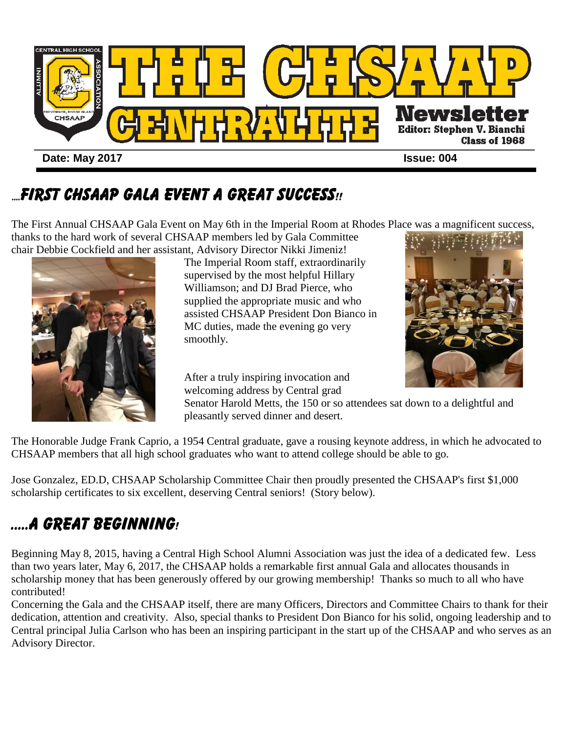

### ....FIRST CHSAAP GALA EVENT A GREAT SUCCESS!!

The First Annual CHSAAP Gala Event on May 6th in the Imperial Room at Rhodes Place was a magnificent success, thanks to the hard work of several CHSAAP members led by Gala Committee



The Imperial Room staff, extraordinarily supervised by the most helpful Hillary Williamson; and DJ Brad Pierce, who supplied the appropriate music and who assisted CHSAAP President Don Bianco in MC duties, made the evening go very smoothly.

After a truly inspiring invocation and welcoming address by Central grad

Senator Harold Metts, the 150 or so attendees sat down to a delightful and pleasantly served dinner and desert.

The Honorable Judge Frank Caprio, a 1954 Central graduate, gave a rousing keynote address, in which he advocated to CHSAAP members that all high school graduates who want to attend college should be able to go.

Jose Gonzalez, ED.D, CHSAAP Scholarship Committee Chair then proudly presented the CHSAAP's first \$1,000 scholarship certificates to six excellent, deserving Central seniors! (Story below).

# .....A GREAT BEGINNING!

Beginning May 8, 2015, having a Central High School Alumni Association was just the idea of a dedicated few. Less than two years later, May 6, 2017, the CHSAAP holds a remarkable first annual Gala and allocates thousands in scholarship money that has been generously offered by our growing membership! Thanks so much to all who have contributed!

Concerning the Gala and the CHSAAP itself, there are many Officers, Directors and Committee Chairs to thank for their dedication, attention and creativity. Also, special thanks to President Don Bianco for his solid, ongoing leadership and to Central principal Julia Carlson who has been an inspiring participant in the start up of the CHSAAP and who serves as an Advisory Director.

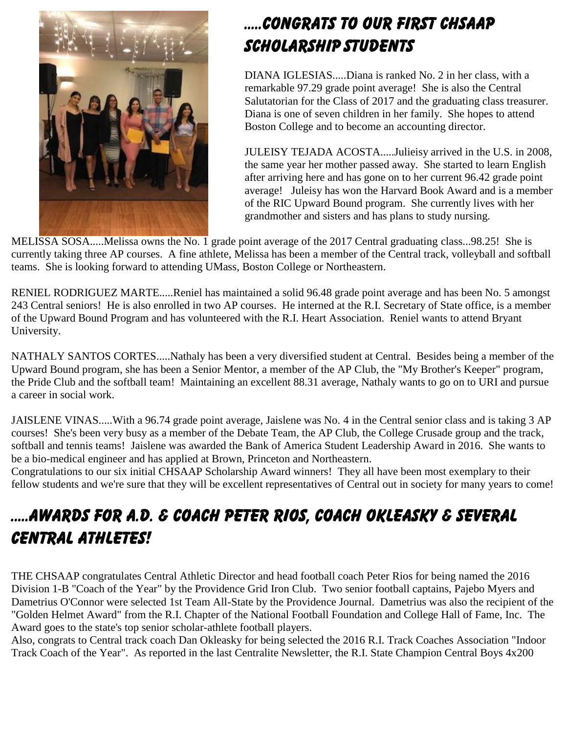

## .....CONGRATS TO OUR FIRST CHSAAP SCHOLARSHIP STUDENTS

DIANA IGLESIAS.....Diana is ranked No. 2 in her class, with a remarkable 97.29 grade point average! She is also the Central Salutatorian for the Class of 2017 and the graduating class treasurer. Diana is one of seven children in her family. She hopes to attend Boston College and to become an accounting director.

JULEISY TEJADA ACOSTA.....Julieisy arrived in the U.S. in 2008, the same year her mother passed away. She started to learn English after arriving here and has gone on to her current 96.42 grade point average! Juleisy has won the Harvard Book Award and is a member of the RIC Upward Bound program. She currently lives with her grandmother and sisters and has plans to study nursing.

MELISSA SOSA.....Melissa owns the No. 1 grade point average of the 2017 Central graduating class...98.25! She is currently taking three AP courses. A fine athlete, Melissa has been a member of the Central track, volleyball and softball teams. She is looking forward to attending UMass, Boston College or Northeastern.

RENIEL RODRIGUEZ MARTE.....Reniel has maintained a solid 96.48 grade point average and has been No. 5 amongst 243 Central seniors! He is also enrolled in two AP courses. He interned at the R.I. Secretary of State office, is a member of the Upward Bound Program and has volunteered with the R.I. Heart Association. Reniel wants to attend Bryant University.

NATHALY SANTOS CORTES.....Nathaly has been a very diversified student at Central. Besides being a member of the Upward Bound program, she has been a Senior Mentor, a member of the AP Club, the "My Brother's Keeper" program, the Pride Club and the softball team! Maintaining an excellent 88.31 average, Nathaly wants to go on to URI and pursue a career in social work.

JAISLENE VINAS.....With a 96.74 grade point average, Jaislene was No. 4 in the Central senior class and is taking 3 AP courses! She's been very busy as a member of the Debate Team, the AP Club, the College Crusade group and the track, softball and tennis teams! Jaislene was awarded the Bank of America Student Leadership Award in 2016. She wants to be a bio-medical engineer and has applied at Brown, Princeton and Northeastern.

Congratulations to our six initial CHSAAP Scholarship Award winners! They all have been most exemplary to their fellow students and we're sure that they will be excellent representatives of Central out in society for many years to come!

## .....AWARDS FOR A.D. & COACH PETER RIOS, COACH OKLEASKY & SEVERAL CENTRAL ATHLETES!

THE CHSAAP congratulates Central Athletic Director and head football coach Peter Rios for being named the 2016 Division 1-B "Coach of the Year" by the Providence Grid Iron Club. Two senior football captains, Pajebo Myers and Dametrius O'Connor were selected 1st Team All-State by the Providence Journal. Dametrius was also the recipient of the "Golden Helmet Award" from the R.I. Chapter of the National Football Foundation and College Hall of Fame, Inc. The Award goes to the state's top senior scholar-athlete football players.

Also, congrats to Central track coach Dan Okleasky for being selected the 2016 R.I. Track Coaches Association "Indoor Track Coach of the Year". As reported in the last Centralite Newsletter, the R.I. State Champion Central Boys 4x200